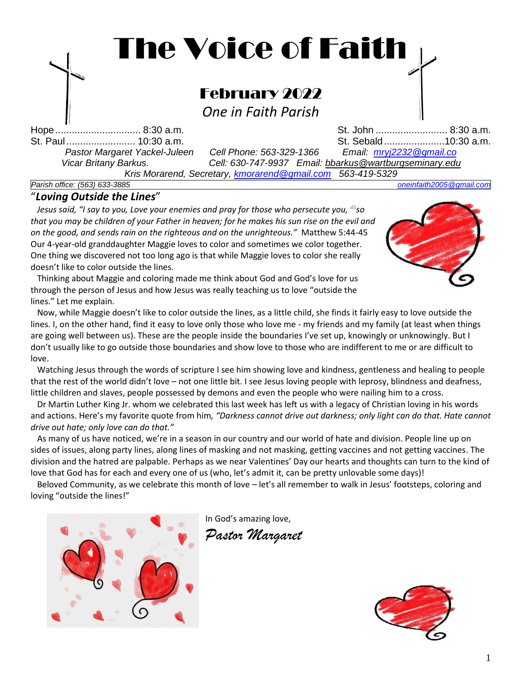

*Parish office: (563) 633-3885 [oneinfaith2005@gmail.com](mailto:oneinfaith2005@gmail.comt)*

### "*Loving Outside the Lines*"

 *Jesus said, "I say to you, Love your enemies and pray for those who persecute you, <sup>45</sup>so that you may be children of your Father in heaven; for he makes his sun rise on the evil and on the good, and sends rain on the righteous and on the unrighteous."* Matthew 5:44-45 Our 4-year-old granddaughter Maggie loves to color and sometimes we color together. One thing we discovered not too long ago is that while Maggie loves to color she really doesn't like to color outside the lines.

 Thinking about Maggie and coloring made me think about God and God's love for us through the person of Jesus and how Jesus was really teaching us to love "outside the lines." Let me explain.



 Now, while Maggie doesn't like to color outside the lines, as a little child, she finds it fairly easy to love outside the lines. I, on the other hand, find it easy to love only those who love me - my friends and my family (at least when things are going well between us). These are the people inside the boundaries I've set up, knowingly or unknowingly. But I don't usually like to go outside those boundaries and show love to those who are indifferent to me or are difficult to love.

 Watching Jesus through the words of scripture I see him showing love and kindness, gentleness and healing to people that the rest of the world didn't love – not one little bit. I see Jesus loving people with leprosy, blindness and deafness, little children and slaves, people possessed by demons and even the people who were nailing him to a cross.

 Dr Martin Luther King Jr. whom we celebrated this last week has left us with a legacy of Christian loving in his words and actions. Here's my favorite quote from him*, "Darkness cannot drive out darkness; only light can do that. Hate cannot drive out hate; only love can do that."*

 As many of us have noticed, we're in a season in our country and our world of hate and division. People line up on sides of issues, along party lines, along lines of masking and not masking, getting vaccines and not getting vaccines. The division and the hatred are palpable. Perhaps as we near Valentines' Day our hearts and thoughts can turn to the kind of love that God has for each and every one of us (who, let's admit it, can be pretty unlovable some days)!

 Beloved Community, as we celebrate this month of love – let's all remember to walk in Jesus' footsteps, coloring and loving "outside the lines!"



In God's amazing love,

*Pastor Margaret*

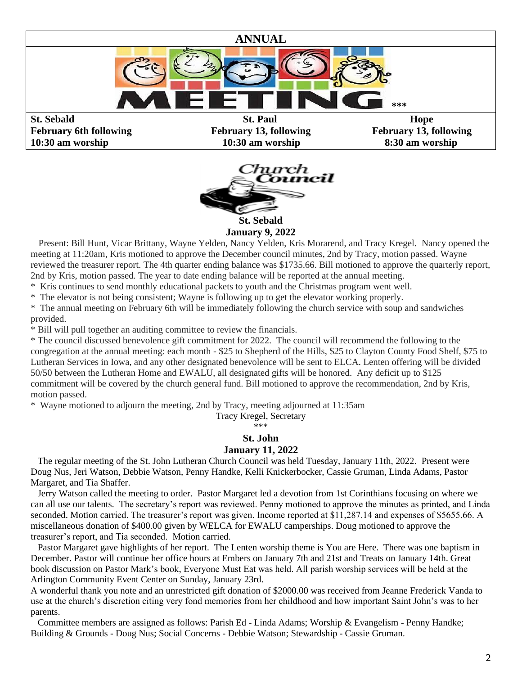

**10:30 am worship 10:30 am worship 8:30 am worship**



**January 9, 2022**

 Present: Bill Hunt, Vicar Brittany, Wayne Yelden, Nancy Yelden, Kris Morarend, and Tracy Kregel. Nancy opened the meeting at 11:20am, Kris motioned to approve the December council minutes, 2nd by Tracy, motion passed. Wayne reviewed the treasurer report. The 4th quarter ending balance was \$1735.66. Bill motioned to approve the quarterly report, 2nd by Kris, motion passed. The year to date ending balance will be reported at the annual meeting.

\* Kris continues to send monthly educational packets to youth and the Christmas program went well.

\* The elevator is not being consistent; Wayne is following up to get the elevator working properly.

\* The annual meeting on February 6th will be immediately following the church service with soup and sandwiches provided.

\* Bill will pull together an auditing committee to review the financials.

\* The council discussed benevolence gift commitment for 2022. The council will recommend the following to the congregation at the annual meeting: each month - \$25 to Shepherd of the Hills, \$25 to Clayton County Food Shelf, \$75 to Lutheran Services in Iowa, and any other designated benevolence will be sent to ELCA. Lenten offering will be divided 50/50 between the Lutheran Home and EWALU, all designated gifts will be honored. Any deficit up to \$125 commitment will be covered by the church general fund. Bill motioned to approve the recommendation, 2nd by Kris, motion passed.

\* Wayne motioned to adjourn the meeting, 2nd by Tracy, meeting adjourned at 11:35am

Tracy Kregel, Secretary

\*\*\*

### **St. John**

### **January 11, 2022**

 The regular meeting of the St. John Lutheran Church Council was held Tuesday, January 11th, 2022. Present were Doug Nus, Jeri Watson, Debbie Watson, Penny Handke, Kelli Knickerbocker, Cassie Gruman, Linda Adams, Pastor Margaret, and Tia Shaffer.

 Jerry Watson called the meeting to order. Pastor Margaret led a devotion from 1st Corinthians focusing on where we can all use our talents. The secretary's report was reviewed. Penny motioned to approve the minutes as printed, and Linda seconded. Motion carried. The treasurer's report was given. Income reported at \$11,287.14 and expenses of \$5655.66. A miscellaneous donation of \$400.00 given by WELCA for EWALU camperships. Doug motioned to approve the treasurer's report, and Tia seconded. Motion carried.

 Pastor Margaret gave highlights of her report. The Lenten worship theme is You are Here. There was one baptism in December. Pastor will continue her office hours at Embers on January 7th and 21st and Treats on January 14th. Great book discussion on Pastor Mark's book, Everyone Must Eat was held. All parish worship services will be held at the Arlington Community Event Center on Sunday, January 23rd.

A wonderful thank you note and an unrestricted gift donation of \$2000.00 was received from Jeanne Frederick Vanda to use at the church's discretion citing very fond memories from her childhood and how important Saint John's was to her parents.

 Committee members are assigned as follows: Parish Ed - Linda Adams; Worship & Evangelism - Penny Handke; Building & Grounds - Doug Nus; Social Concerns - Debbie Watson; Stewardship - Cassie Gruman.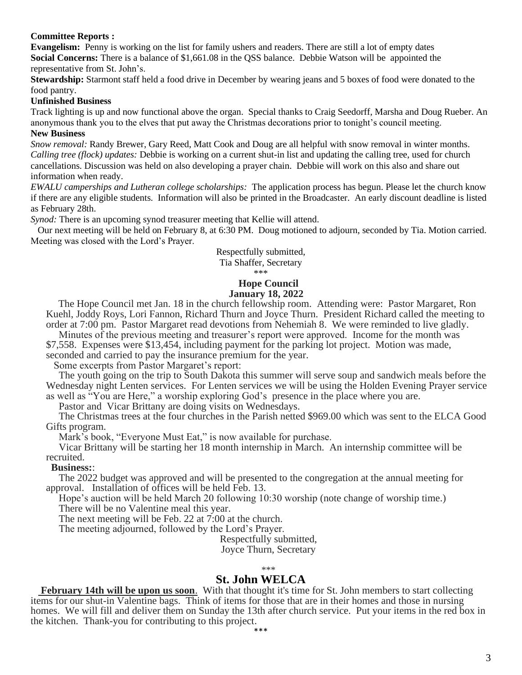#### **Committee Reports :**

**Evangelism:** Penny is working on the list for family ushers and readers. There are still a lot of empty dates **Social Concerns:** There is a balance of \$1,661.08 in the QSS balance. Debbie Watson will be appointed the representative from St. John's.

**Stewardship:** Starmont staff held a food drive in December by wearing jeans and 5 boxes of food were donated to the food pantry.

### **Unfinished Business**

Track lighting is up and now functional above the organ. Special thanks to Craig Seedorff, Marsha and Doug Rueber. An anonymous thank you to the elves that put away the Christmas decorations prior to tonight's council meeting. **New Business**

*Snow removal:* Randy Brewer, Gary Reed, Matt Cook and Doug are all helpful with snow removal in winter months. *Calling tree (flock) updates:* Debbie is working on a current shut-in list and updating the calling tree, used for church cancellations. Discussion was held on also developing a prayer chain. Debbie will work on this also and share out information when ready.

*EWALU camperships and Lutheran college scholarships:* The application process has begun. Please let the church know if there are any eligible students. Information will also be printed in the Broadcaster. An early discount deadline is listed as February 28th.

*Synod:* There is an upcoming synod treasurer meeting that Kellie will attend.

 Our next meeting will be held on February 8, at 6:30 PM. Doug motioned to adjourn, seconded by Tia. Motion carried. Meeting was closed with the Lord's Prayer.

### Respectfully submitted,

Tia Shaffer, Secretary

\*\*\*

#### **Hope Council January 18, 2022**

The Hope Council met Jan. 18 in the church fellowship room. Attending were: Pastor Margaret, Ron Kuehl, Joddy Roys, Lori Fannon, Richard Thurn and Joyce Thurn. President Richard called the meeting to order at 7:00 pm. Pastor Margaret read devotions from Nehemiah 8. We were reminded to live gladly.

Minutes of the previous meeting and treasurer's report were approved. Income for the month was \$7,558. Expenses were \$13,454, including payment for the parking lot project. Motion was made, seconded and carried to pay the insurance premium for the year.

Some excerpts from Pastor Margaret's report:

The youth going on the trip to South Dakota this summer will serve soup and sandwich meals before the Wednesday night Lenten services. For Lenten services we will be using the Holden Evening Prayer service as well as "You are Here," a worship exploring God's presence in the place where you are.

Pastor and Vicar Brittany are doing visits on Wednesdays.

The Christmas trees at the four churches in the Parish netted \$969.00 which was sent to the ELCA Good Gifts program.

Mark's book, "Everyone Must Eat," is now available for purchase.

Vicar Brittany will be starting her 18 month internship in March. An internship committee will be recruited.

#### **Business:**:

The 2022 budget was approved and will be presented to the congregation at the annual meeting for approval. Installation of offices will be held Feb. 13.

Hope's auction will be held March 20 following 10:30 worship (note change of worship time.) There will be no Valentine meal this year.

The next meeting will be Feb. 22 at 7:00 at the church.

The meeting adjourned, followed by the Lord's Prayer.

Respectfully submitted,

Joyce Thurn, Secretary

#### \*\*\*

### **St. John WELCA**

 **February 14th will be upon us soon**. With that thought it's time for St. John members to start collecting items for our shut-in Valentine bags. Think of items for those that are in their homes and those in nursing homes. We will fill and deliver them on Sunday the 13th after church service. Put your items in the red box in the kitchen. Thank-you for contributing to this project.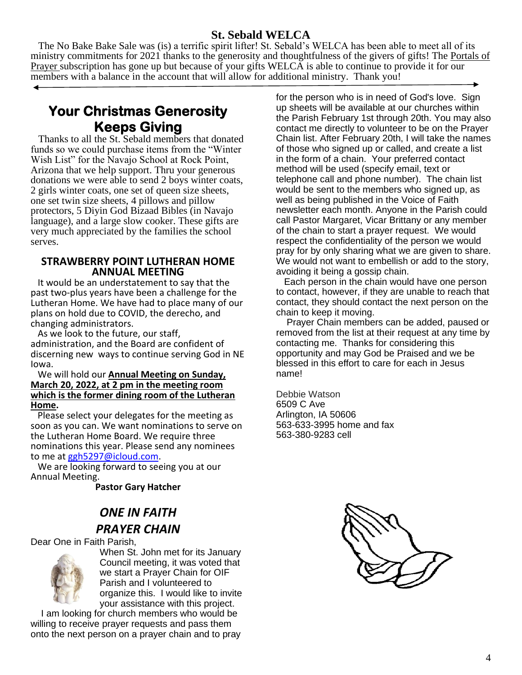### **St. Sebald WELCA**

 The No Bake Bake Sale was (is) a terrific spirit lifter! St. Sebald's WELCA has been able to meet all of its ministry commitments for 2021 thanks to the generosity and thoughtfulness of the givers of gifts! The Portals of Prayer subscription has gone up but because of your gifts WELCA is able to continue to provide it for our members with a balance in the account that will allow for additional ministry. Thank you!

**Your Christmas Generosity Keeps Giving** 

 Thanks to all the St. Sebald members that donated funds so we could purchase items from the "Winter Wish List" for the Navajo School at Rock Point, Arizona that we help support. Thru your generous donations we were able to send 2 boys winter coats, 2 girls winter coats, one set of queen size sheets, one set twin size sheets, 4 pillows and pillow protectors, 5 Diyin God Bizaad Bibles (in Navajo language), and a large slow cooker. These gifts are very much appreciated by the families the school serves.

#### **STRAWBERRY POINT LUTHERAN HOME ANNUAL MEETING**

It would be an understatement to say that the past two-plus years have been a challenge for the Lutheran Home. We have had to place many of our plans on hold due to COVID, the derecho, and changing administrators.

 As we look to the future, our staff, administration, and the Board are confident of discerning new ways to continue serving God in NE Iowa.

#### We will hold our **Annual Meeting on Sunday, March 20, 2022, at 2 pm in the meeting room which is the former dining room of the Lutheran Home.**

Please select your delegates for the meeting as soon as you can. We want nominations to serve on the Lutheran Home Board. We require three nominations this year. Please send any nominees to me at [ggh5297@icloud.com.](mailto:ggh5297@icloud.com)

 We are looking forward to seeing you at our Annual Meeting.

**Pastor Gary Hatcher**

# **ONE IN FAITH** *PRAYER CHAIN*

Dear One in Faith Parish,



When St. John met for its January Council meeting, it was voted that we start a Prayer Chain for OIF Parish and I volunteered to organize this. I would like to invite your assistance with this project.

 I am looking for church members who would be willing to receive prayer requests and pass them onto the next person on a prayer chain and to pray for the person who is in need of God's love. Sign up sheets will be available at our churches within the Parish February 1st through 20th. You may also contact me directly to volunteer to be on the Prayer Chain list. After February 20th, I will take the names of those who signed up or called, and create a list in the form of a chain. Your preferred contact method will be used (specify email, text or telephone call and phone number). The chain list would be sent to the members who signed up, as well as being published in the Voice of Faith newsletter each month. Anyone in the Parish could call Pastor Margaret, Vicar Brittany or any member of the chain to start a prayer request. We would respect the confidentiality of the person we would pray for by only sharing what we are given to share. We would not want to embellish or add to the story, avoiding it being a gossip chain.

 Each person in the chain would have one person to contact, however, if they are unable to reach that contact, they should contact the next person on the chain to keep it moving.

 Prayer Chain members can be added, paused or removed from the list at their request at any time by contacting me. Thanks for considering this opportunity and may God be Praised and we be blessed in this effort to care for each in Jesus name!

Debbie Watson 6509 C Ave Arlington, IA 50606 563-633-3995 home and fax 563-380-9283 cell

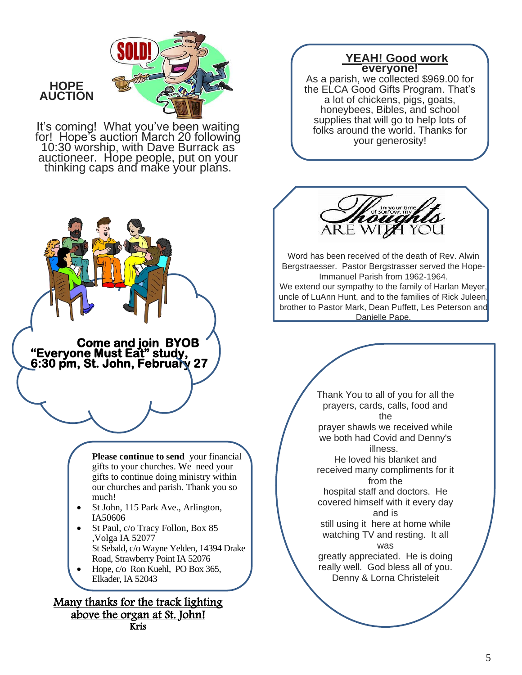

### **HOPE AUCTION**

 $\overline{\phantom{a}}$  $\overline{\phantom{a}}$ 

i<br>L j

It's coming! What you've been waiting for! Hope's auction March 20 following 10:30 worship, with Dave Burrack as auctioneer. Hope people, put on your thinking caps and make your plans.

**Come and join BYOB** 

**"Everyone Must Eat" study, 6:30 pm, St. John, February 27** 

### UY **YEAH! Good work everyone!**

As a parish, we collected \$969.00 for the ELCA Good Gifts Program. That's a lot of chickens, pigs, goats, honeybees, Bibles, and school supplies that will go to help lots of folks around the world. Thanks for your generosity!



Í í

> Word has been received of the death of Rev. Alwin Bergstraesser. Pastor Bergstrasser served the Hope-Immanuel Parish from 1962-1964.

We extend our sympathy to the family of Harlan Meyer, uncle of LuAnn Hunt, and to the families of Rick Juleen, brother to Pastor Mark, Dean Puffett, Les Peterson and Danielle Pape.

> I l.



Ξ

**Please continue to send** your financial gifts to your churches. We need your gifts to continue doing ministry within our churches and parish. Thank you so much!

- St John, 115 Park Ave., Arlington, IA50606
- St Paul, c/o Tracy Follon, Box 85 ,Volga IA 52077 St Sebald, c/o Wayne Yelden, 14394 Drake Road, Strawberry Point IA 52076
- Hope, c/o Ron Kuehl, PO Box 365, Elkader, IA 52043

Many thanks for the track lighting above the organ at St. John! Kris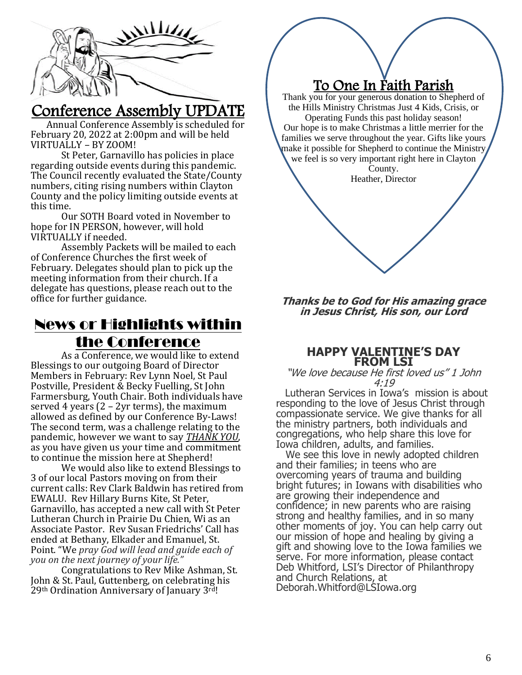

# Conference Assembly UPDATE

 Annual Conference Assembly is scheduled for February 20, 2022 at 2:00pm and will be held VIRTUALLY – BY ZOOM!

St Peter, Garnavillo has policies in place regarding outside events during this pandemic. The Council recently evaluated the State/County numbers, citing rising numbers within Clayton County and the policy limiting outside events at this time.

Our SOTH Board voted in November to hope for IN PERSON, however, will hold VIRTUALLY if needed.

Assembly Packets will be mailed to each of Conference Churches the first week of February. Delegates should plan to pick up the meeting information from their church. If a delegate has questions, please reach out to the office for further guidance.

# News or Highlights within the Conference

As a Conference, we would like to extend Blessings to our outgoing Board of Director Members in February: Rev Lynn Noel, St Paul Postville, President & Becky Fuelling, St John Farmersburg, Youth Chair. Both individuals have served 4 years (2 – 2yr terms), the maximum allowed as defined by our Conference By-Laws! The second term, was a challenge relating to the pandemic, however we want to say *THANK YOU*, as you have given us your time and commitment to continue the mission here at Shepherd!

We would also like to extend Blessings to 3 of our local Pastors moving on from their current calls: Rev Clark Baldwin has retired from EWALU. Rev Hillary Burns Kite, St Peter, Garnavillo, has accepted a new call with St Peter Lutheran Church in Prairie Du Chien, Wi as an Associate Pastor. Rev Susan Friedrichs' Call has ended at Bethany, Elkader and Emanuel, St. Point. "We *pray God will lead and guide each of you on the next journey of your life."*

Congratulations to Rev Mike Ashman, St. John & St. Paul, Guttenberg, on celebrating his 29th Ordination Anniversary of January 3rd! Ī

### $\sqrt{2}$ To One In Faith Parish

 $\overline{a}$ 

Thank you for your generous donation to Shepherd of the Hills Ministry Christmas Just 4 Kids, Crisis, or Operating Funds this past holiday season! Our hope is to make Christmas a little merrier for the families we serve throughout the year. Gifts like yours make it possible for Shepherd to continue the Ministry we feel is so very important right here in Clayton

> County. Heather, Director

**Thanks be to God for His amazing grace in Jesus Christ, His son, our Lord**

### **HAPPY VALENTINE'S DAY FROM LSI**

#### "We love because He first loved us" 1 John 4:19

Lutheran Services in Iowa's mission is about responding to the love of Jesus Christ through compassionate service. We give thanks for all the ministry partners, both individuals and congregations, who help share this love for Iowa children, adults, and families.

 We see this love in newly adopted children and their families; in teens who are overcoming years of trauma and building bright futures; in Iowans with disabilities who are growing their independence and confidence; in new parents who are raising strong and healthy families, and in so many other moments of joy. You can help carry out our mission of hope and healing by giving a gift and showing love to the Iowa families we serve. For more information, please contact Deb Whitford, LSI's Director of Philanthropy and Church Relations, at Deborah.Whitford@LSIowa.org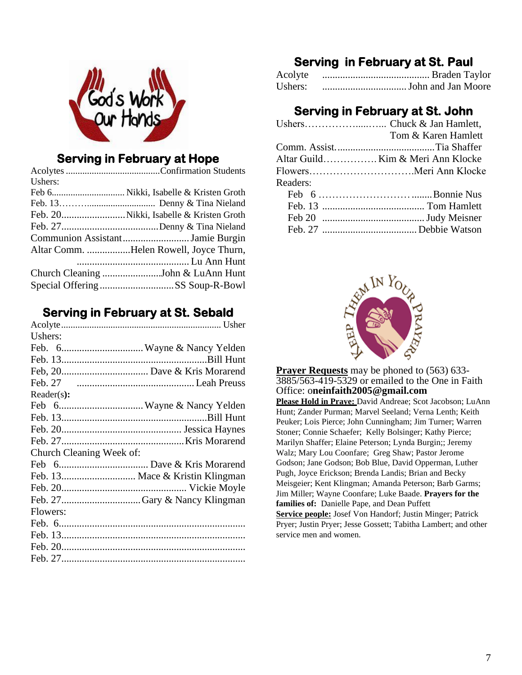

## **Serving in February at Hope**

| Ushers: |                                        |
|---------|----------------------------------------|
|         |                                        |
|         |                                        |
|         |                                        |
|         |                                        |
|         | Communion AssistantJamie Burgin        |
|         | Altar Comm. Helen Rowell, Joyce Thurn, |
|         |                                        |
|         | Church Cleaning John & LuAnn Hunt      |
|         | Special OfferingSS Soup-R-Bowl         |

## **Serving in February at St. Sebald**

| Feb. 13 Mace & Kristin Klingman |
|---------------------------------|
|                                 |
|                                 |
|                                 |
|                                 |
|                                 |
|                                 |
|                                 |
|                                 |

# **Serving in February at St. Paul**

| Acolyte |  |
|---------|--|
| Ushers: |  |

## **Serving in February at St. John**

|          | Tom & Karen Hamlett               |
|----------|-----------------------------------|
|          |                                   |
|          | Altar Guild Kim & Meri Ann Klocke |
|          |                                   |
| Readers: |                                   |
|          |                                   |
|          |                                   |
|          |                                   |
|          |                                   |
|          |                                   |



**Prayer Requests** may be phoned to (563) 633-3885/563-419-5329 or emailed to the One in Faith Office: o**neinfaith2005@gmail.com Please Hold in Praye:** David Andreae; Scot Jacobson; LuAnn Hunt; Zander Purman; Marvel Seeland; Verna Lenth; Keith Peuker; Lois Pierce; John Cunningham; Jim Turner; Warren Stoner; Connie Schaefer; Kelly Bolsinger; Kathy Pierce; Marilyn Shaffer; Elaine Peterson; Lynda Burgin;; Jeremy Walz; Mary Lou Coonfare; Greg Shaw; Pastor Jerome Godson; Jane Godson; Bob Blue, David Opperman, Luther Pugh, Joyce Erickson; Brenda Landis; Brian and Becky Meisgeier; Kent Klingman; Amanda Peterson; Barb Garms; Jim Miller; Wayne Coonfare; Luke Baade. **Prayers for the families of:** Danielle Pape, and Dean Puffett **Service people:** Josef Von Handorf; Justin Minger; Patrick Pryer; Justin Pryer; Jesse Gossett; Tabitha Lambert; and other service men and women.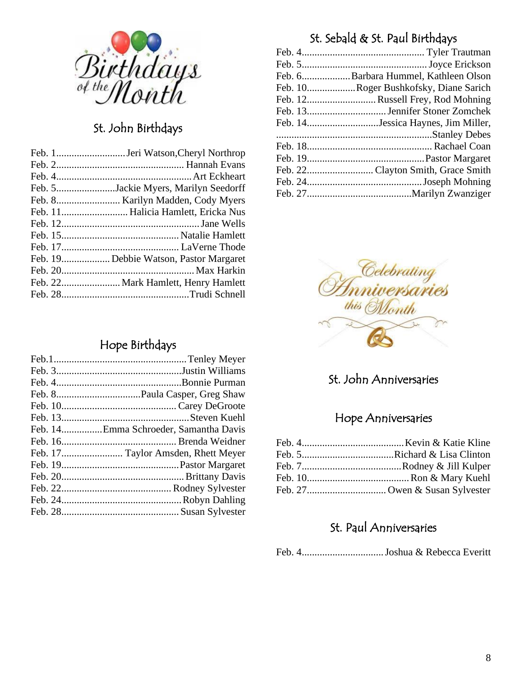

# St. John Birthdays

| Feb. 5Jackie Myers, Marilyn Seedorff  |
|---------------------------------------|
|                                       |
| Feb. 11 Halicia Hamlett, Ericka Nus   |
|                                       |
|                                       |
|                                       |
| Feb. 19Debbie Watson, Pastor Margaret |
|                                       |
|                                       |
|                                       |

## Hope Birthdays

| Feb. 14Emma Schroeder, Samantha Davis |
|---------------------------------------|
|                                       |
| Feb. 17 Taylor Amsden, Rhett Meyer    |
|                                       |
|                                       |
|                                       |
|                                       |
|                                       |

# St. Sebald & St. Paul Birthdays

| Feb. 6Barbara Hummel, Kathleen Olson  |
|---------------------------------------|
| Feb. 10Roger Bushkofsky, Diane Sarich |
| Feb. 12Russell Frey, Rod Mohning      |
|                                       |
| Feb. 14Jessica Haynes, Jim Miller,    |
|                                       |
|                                       |
|                                       |
|                                       |
|                                       |
|                                       |



# St. John Anniversaries

## Hope Anniversaries

## St. Paul Anniversaries

Feb. 4................................Joshua & Rebecca Everitt